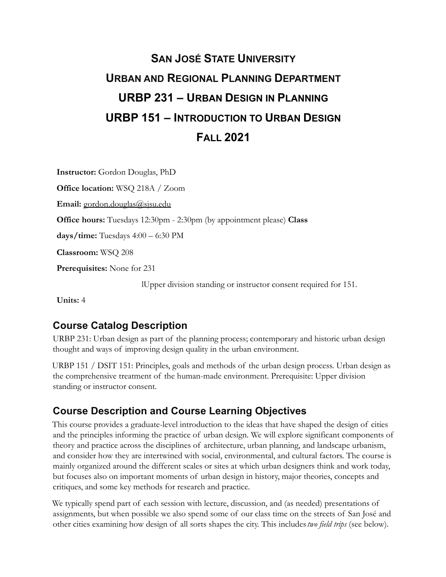# **URBP 231 – URBAN DESIGN IN PLANNING URBP 151 – INTRODUCTION TO URBAN DESIGN SAN JOSÉ STATE UNIVERSITY URBAN AND REGIONAL PLANNING DEPARTMENT FALL 2021**

**Instructor:** Gordon Douglas, PhD

**Office location:** WSQ 218A / Zoom

**Email:** [gordon.douglas@sjsu.edu](mailto:gordon.douglas@sjsu.edu)

**Office hours:** Tuesdays 12:30pm - 2:30pm (by appointment please) **Class**

**days/time:** Tuesdays 4:00 – 6:30 PM

**Classroom:** WSQ 208

**Prerequisites:** None for 231

lUpper division standing or instructor consent required for 151.

**Units:** 4

### **Course Catalog Description**

URBP 231: Urban design as part of the planning process; contemporary and historic urban design thought and ways of improving design quality in the urban environment.

URBP 151 / DSIT 151: Principles, goals and methods of the urban design process. Urban design as the comprehensive treatment of the human-made environment. Prerequisite: Upper division standing or instructor consent.

### **Course Description and Course Learning Objectives**

This course provides a graduate-level introduction to the ideas that have shaped the design of cities and the principles informing the practice of urban design. We will explore significant components of theory and practice across the disciplines of architecture, urban planning, and landscape urbanism, and consider how they are intertwined with social, environmental, and cultural factors. The course is mainly organized around the different scales or sites at which urban designers think and work today, but focuses also on important moments of urban design in history, major theories, concepts and critiques, and some key methods for research and practice.

We typically spend part of each session with lecture, discussion, and (as needed) presentations of assignments, but when possible we also spend some of our class time on the streets of San José and other cities examining how design of all sorts shapes the city. This includes*two field trips* (see below).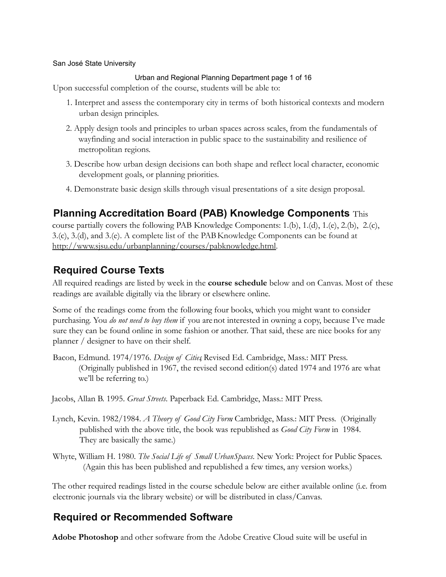#### Urban and Regional Planning Department page 1 of 16

Upon successful completion of the course, students will be able to:

- 1. Interpret and assess the contemporary city in terms of both historical contexts and modern urban design principles.
- 2. Apply design tools and principles to urban spaces across scales, from the fundamentals of wayfinding and social interaction in public space to the sustainability and resilience of metropolitan regions.
- 3. Describe how urban design decisions can both shape and reflect local character, economic development goals, or planning priorities.
- 4. Demonstrate basic design skills through visual presentations of a site design proposal.

### **Planning Accreditation Board (PAB) Knowledge Components** This

course partially covers the following PAB Knowledge Components: 1.(b), 1.(d), 1.(e), 2.(b), 2.(c), 3.(c), 3.(d), and 3.(e). A complete list of the PABKnowledge Components can be found at [http://www.sjsu.edu/urbanplanning/courses/pabknowledge.html.](http://www.sjsu.edu/urbanplanning/courses/pabknowledge.html)

### **Required Course Texts**

All required readings are listed by week in the **course schedule** below and on Canvas. Most of these readings are available digitally via the library or elsewhere online.

Some of the readings come from the following four books, which you might want to consider purchasing. You *do not need to buy them* if you arenot interested in owning a copy, because I've made sure they can be found online in some fashion or another. That said, these are nice books for any planner / designer to have on their shelf.

Bacon, Edmund. 1974/1976. *Design of Cities*, Revised Ed. Cambridge, Mass.: MIT Press. (Originally published in 1967, the revised second edition(s) dated 1974 and 1976 are what we'll be referring to.)

Jacobs, Allan B. 1995. *Great Streets*. Paperback Ed. Cambridge, Mass.: MIT Press.

- Lynch, Kevin. 1982/1984. *A Theory of Good City Form*. Cambridge, Mass.: MIT Press. (Originally published with the above title, the book was republished as *Good City Form* in 1984. They are basically the same.)
- Whyte, William H. 1980. *The Social Life of Small UrbanSpaces*. New York: Project for Public Spaces. (Again this has been published and republished a few times, any version works.)

The other required readings listed in the course schedule below are either available online (i.e. from electronic journals via the library website) or will be distributed in class/Canvas.

### **Required or Recommended Software**

**Adobe Photoshop** and other software from the Adobe Creative Cloud suite will be useful in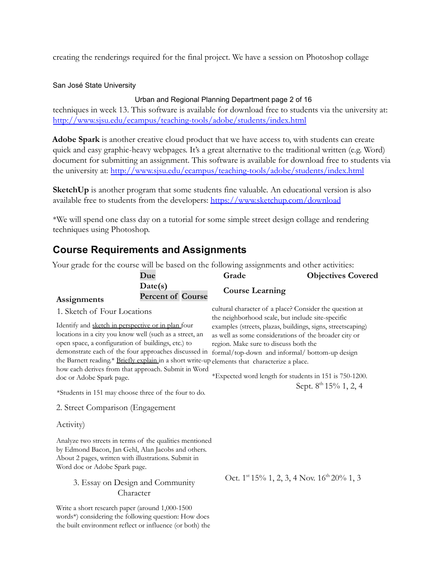creating the renderings required for the final project. We have a session on Photoshop collage

#### San José State University

#### Urban and Regional Planning Department page 2 of 16

techniques in week 13. This software is available for download free to students via the university at: <http://www.sjsu.edu/ecampus/teaching-tools/adobe/students/index.html>

**Adobe Spark** is another creative cloud product that we have access to, with students can create quick and easy graphic-heavy webpages. It's a great alternative to the traditional written (e.g. Word) document for submitting an assignment. This software is available for download free to students via the university at: <http://www.sjsu.edu/ecampus/teaching-tools/adobe/students/index.html>

**SketchUp** is another program that some students fine valuable. An educational version is also available free to students from the developers: <https://www.sketchup.com/download>

\*We will spend one class day on a tutorial for some simple street design collage and rendering techniques using Photoshop.

# **Course Requirements and Assignments**

|                                  | Your grade for the course will be based on the following assignments and other activities:<br>Due                                                                                                                          | Grade                                                                                                                                                                                                                                                                                                                                                                                                                                                                | <b>Objectives Covered</b>                                   |  |
|----------------------------------|----------------------------------------------------------------------------------------------------------------------------------------------------------------------------------------------------------------------------|----------------------------------------------------------------------------------------------------------------------------------------------------------------------------------------------------------------------------------------------------------------------------------------------------------------------------------------------------------------------------------------------------------------------------------------------------------------------|-------------------------------------------------------------|--|
| Assignments                      | Date(s)<br><b>Percent of Course</b>                                                                                                                                                                                        | <b>Course Learning</b>                                                                                                                                                                                                                                                                                                                                                                                                                                               |                                                             |  |
| 1. Sketch of Four Locations      |                                                                                                                                                                                                                            | cultural character of a place? Consider the question at<br>the neighborhood scale, but include site-specific                                                                                                                                                                                                                                                                                                                                                         |                                                             |  |
| doc or Adobe Spark page.         | Identify and sketch in perspective or in plan four<br>locations in a city you know well (such as a street, an<br>open space, a configuration of buildings, etc.) to<br>how each derives from that approach. Submit in Word | examples (streets, plazas, buildings, signs, streetscaping)<br>as well as some considerations of the broader city or<br>region. Make sure to discuss both the<br>demonstrate each of the four approaches discussed in formal/top-down and informal/ bottom-up design<br>the Barnett reading.* Briefly explain in a short write-up elements that characterize a place.<br>*Expected word length for students in 151 is 750-1200.<br>Sept. 8 <sup>th</sup> 15% 1, 2, 4 |                                                             |  |
|                                  | *Students in 151 may choose three of the four to do.                                                                                                                                                                       |                                                                                                                                                                                                                                                                                                                                                                                                                                                                      |                                                             |  |
| 2. Street Comparison (Engagement |                                                                                                                                                                                                                            |                                                                                                                                                                                                                                                                                                                                                                                                                                                                      |                                                             |  |
| Activity)                        |                                                                                                                                                                                                                            |                                                                                                                                                                                                                                                                                                                                                                                                                                                                      |                                                             |  |
| Word doc or Adobe Spark page.    | Analyze two streets in terms of the qualities mentioned<br>by Edmond Bacon, Jan Gehl, Alan Jacobs and others.<br>About 2 pages, written with illustrations. Submit in<br>3. Essay on Design and Community<br>Character     |                                                                                                                                                                                                                                                                                                                                                                                                                                                                      | Oct. 1 <sup>st</sup> 15% 1, 2, 3, 4 Nov. $16^{th}$ 20% 1, 3 |  |
|                                  | Write a short research paper (around 1,000-1500<br>words*) considering the following question: How does<br>the built environment reflect or influence (or both) the                                                        |                                                                                                                                                                                                                                                                                                                                                                                                                                                                      |                                                             |  |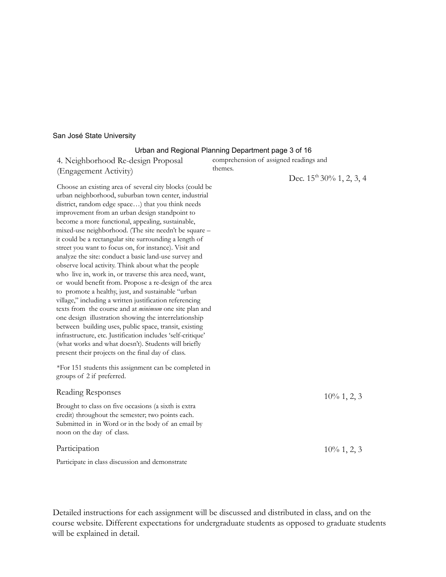#### Urban and Regional Planning Department page 3 of 16

| 4. Neighborhood Re-design Proposal<br>(Engagement Activity)                                                                                                                                                                                                                                                                                                                                                                                                                                                                                                                                                                                                                                                                                                                                                                                                                                                                                                                                                                                                                                                                                                                    | comprehension of assigned readings and<br>themes. |                            |
|--------------------------------------------------------------------------------------------------------------------------------------------------------------------------------------------------------------------------------------------------------------------------------------------------------------------------------------------------------------------------------------------------------------------------------------------------------------------------------------------------------------------------------------------------------------------------------------------------------------------------------------------------------------------------------------------------------------------------------------------------------------------------------------------------------------------------------------------------------------------------------------------------------------------------------------------------------------------------------------------------------------------------------------------------------------------------------------------------------------------------------------------------------------------------------|---------------------------------------------------|----------------------------|
| Choose an existing area of several city blocks (could be<br>urban neighborhood, suburban town center, industrial<br>district, random edge space) that you think needs<br>improvement from an urban design standpoint to<br>become a more functional, appealing, sustainable,<br>mixed-use neighborhood. (The site needn't be square -<br>it could be a rectangular site surrounding a length of<br>street you want to focus on, for instance). Visit and<br>analyze the site: conduct a basic land-use survey and<br>observe local activity. Think about what the people<br>who live in, work in, or traverse this area need, want,<br>or would benefit from. Propose a re-design of the area<br>to promote a healthy, just, and sustainable "urban<br>village," including a written justification referencing<br>texts from the course and at <i>minimum</i> one site plan and<br>one design illustration showing the interrelationship<br>between building uses, public space, transit, existing<br>infrastructure, etc. Justification includes 'self-critique'<br>(what works and what doesn't). Students will briefly<br>present their projects on the final day of class. |                                                   | Dec. $15th 30% 1, 2, 3, 4$ |
| *For 151 students this assignment can be completed in<br>groups of 2 if preferred.                                                                                                                                                                                                                                                                                                                                                                                                                                                                                                                                                                                                                                                                                                                                                                                                                                                                                                                                                                                                                                                                                             |                                                   |                            |
| Reading Responses                                                                                                                                                                                                                                                                                                                                                                                                                                                                                                                                                                                                                                                                                                                                                                                                                                                                                                                                                                                                                                                                                                                                                              |                                                   | $10\%$ 1, 2, 3             |
| Brought to class on five occasions (a sixth is extra<br>credit) throughout the semester; two points each.<br>Submitted in in Word or in the body of an email by<br>noon on the day of class.                                                                                                                                                                                                                                                                                                                                                                                                                                                                                                                                                                                                                                                                                                                                                                                                                                                                                                                                                                                   |                                                   |                            |
| Participation                                                                                                                                                                                                                                                                                                                                                                                                                                                                                                                                                                                                                                                                                                                                                                                                                                                                                                                                                                                                                                                                                                                                                                  |                                                   | $10\%$ 1, 2, 3             |
| Participate in class discussion and demonstrate                                                                                                                                                                                                                                                                                                                                                                                                                                                                                                                                                                                                                                                                                                                                                                                                                                                                                                                                                                                                                                                                                                                                |                                                   |                            |

Detailed instructions for each assignment will be discussed and distributed in class, and on the course website. Different expectations for undergraduate students as opposed to graduate students will be explained in detail.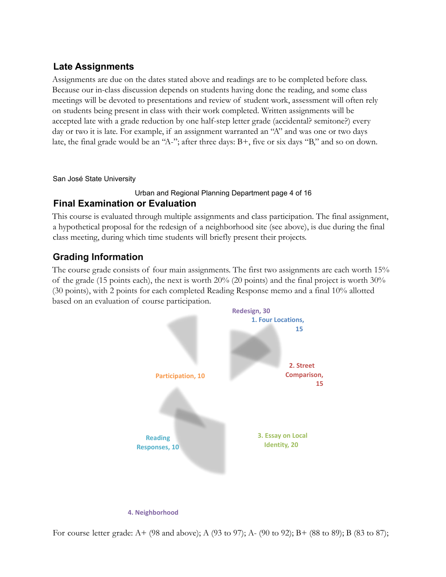### **Late Assignments**

Assignments are due on the dates stated above and readings are to be completed before class. Because our in-class discussion depends on students having done the reading, and some class meetings will be devoted to presentations and review of student work, assessment will often rely on students being present in class with their work completed. Written assignments will be accepted late with a grade reduction by one half-step letter grade (accidental? semitone?) every day or two it is late. For example, if an assignment warranted an "A" and was one or two days late, the final grade would be an "A-"; after three days: B+, five or six days "B," and so on down.

San José State University

#### Urban and Regional Planning Department page 4 of 16

### **Final Examination or Evaluation**

This course is evaluated through multiple assignments and class participation. The final assignment, a hypothetical proposal for the redesign of a neighborhood site (see above), is due during the final class meeting, during which time students will briefly present their projects.

### **Grading Information**

The course grade consists of four main assignments. The first two assignments are each worth 15% of the grade (15 points each), the next is worth 20% (20 points) and the final project is worth 30% (30 points), with 2 points for each completed Reading Response memo and a final 10% allotted based on an evaluation of course participation.



For course letter grade: A+ (98 and above); A (93 to 97); A- (90 to 92); B+ (88 to 89); B (83 to 87);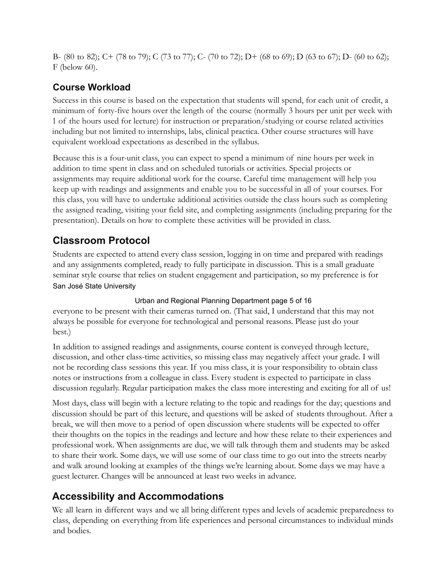B- (80 to 82); C+ (78 to 79); C (73 to 77); C- (70 to 72); D+ (68 to 69); D (63 to 67); D- (60 to 62); F (below 60).

# **Course Workload**

Success in this course is based on the expectation that students will spend, for each unit of credit, a minimum of forty-five hours over the length of the course (normally 3 hours per unit per week with 1 of the hours used for lecture) for instruction or preparation/studying or course related activities including but not limited to internships, labs, clinical practica. Other course structures will have equivalent workload expectations as described in the syllabus.

Because this is a four-unit class, you can expect to spend a minimum of nine hours per week in addition to time spent in class and on scheduled tutorials or activities. Special projects or assignments may require additional work for the course. Careful time management will help you keep up with readings and assignments and enable you to be successful in all of your courses. For this class, you will have to undertake additional activities outside the class hours such as completing the assigned reading, visiting your field site, and completing assignments (including preparing for the presentation). Details on how to complete these activities will be provided in class.

# **Classroom Protocol**

 San José State University Students are expected to attend every class session, logging in on time and prepared with readings and any assignments completed, ready to fully participate in discussion. This is a small graduate seminar style course that relies on student engagement and participation, so my preference is for

### Urban and Regional Planning Department page 5 of 16

everyone to be present with their cameras turned on. (That said, I understand that this may not always be possible for everyone for technological and personal reasons. Please just do your best.)

In addition to assigned readings and assignments, course content is conveyed through lecture, discussion, and other class-time activities, so missing class may negatively affect your grade. I will not be recording class sessions this year. If you miss class, it is your responsibility to obtain class notes or instructions from a colleague in class. Every student is expected to participate in class discussion regularly. Regular participation makes the class more interesting and exciting for all of us!

Most days, class will begin with a lecture relating to the topic and readings for the day; questions and discussion should be part of this lecture, and questions will be asked of students throughout. After a break, we will then move to a period of open discussion where students will be expected to offer their thoughts on the topics in the readings and lecture and how these relate to their experiences and professional work. When assignments are due, we will talk through them and students may be asked to share their work. Some days, we will use some of our class time to go out into the streets nearby and walk around looking at examples of the things we're learning about. Some days we may have a guest lecturer. Changes will be announced at least two weeks in advance.

# **Accessibility and Accommodations**

We all learn in different ways and we all bring different types and levels of academic preparedness to class, depending on everything from life experiences and personal circumstances to individual minds and bodies.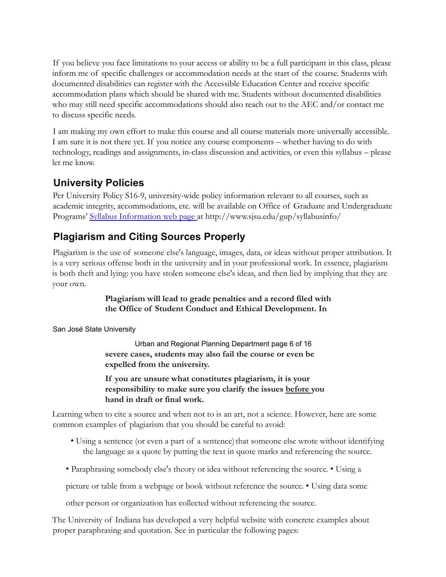If you believe you face limitations to your access or ability to be a full participant in this class, please inform me of specific challenges or accommodation needs at the start of the course. Students with documented disabilities can register with the Accessible Education Center and receive specific accommodation plans which should be shared with me. Students without documented disabilities who may still need specific accommodations should also reach out to the AEC and/or contact me to discuss specific needs.

I am making my own effort to make this course and all course materials more universally accessible. I am sure it is not there yet. If you notice any course components – whether having to do with technology, readings and assignments, in-class discussion and activities, or even this syllabus – please let me know.

# **University Policies**

Per University Policy S16-9, university-wide policy information relevant to all courses, such as academic integrity, accommodations, etc. will be available on Office of Graduate and Undergraduate Programs' Syllabus Information web page at <http://www.sjsu.edu/gup/syllabusinfo>/

# **Plagiarism and Citing Sources Properly**

Plagiarism is the use of someone else's language, images, data, or ideas without proper attribution. It is a very serious offense both in the university and in your professional work. In essence, plagiarism is both theft and lying: you have stolen someone else's ideas, and then lied by implying that they are your own.

### **Plagiarism will lead to grade penalties and a record filed with the Office of Student Conduct and Ethical Development. In**

San José State University

 Urban and Regional Planning Department page 6 of 16 **severe cases, students may also fail the course or even be expelled from the university.**

**If you are unsure what constitutes plagiarism, it is your responsibility to make sure you clarify the issues before you hand in draft or final work.**

Learning when to cite a source and when not to is an art, not a science. However, here are some common examples of plagiarism that you should be careful to avoid:

- Using a sentence (or even a part of a sentence) that someone else wrote without identifying the language as a quote by putting the text in quote marks and referencing the source.
- Paraphrasing somebody else's theory or idea without referencing the source. Using a

picture or table from a webpage or book without reference the source. • Using data some

other person or organization has collected without referencing the source.

The University of Indiana has developed a very helpful website with concrete examples about proper paraphrasing and quotation. See in particular the following pages: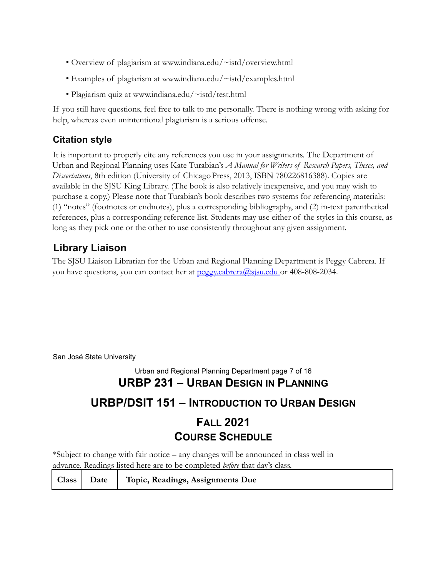- Overview of plagiarism at<www.indiana.edu/~istd/overview.html>
- Examples of plagiarism at <www.indiana.edu/~istd/examples.html>
- Plagiarism quiz at <www.indiana.edu/~istd/test.html>

If you still have questions, feel free to talk to me personally. There is nothing wrong with asking for help, whereas even unintentional plagiarism is a serious offense.

### **Citation style**

It is important to properly cite any references you use in your assignments. The Department of Urban and Regional Planning uses Kate Turabian's *A Manual for Writers of Research Papers, Theses, and Dissertations*, 8th edition (University of Chicago Press, 2013, ISBN 780226816388). Copies are available in the SJSU King Library. (The book is also relatively inexpensive, and you may wish to purchase a copy.) Please note that Turabian's book describes two systems for referencing materials: (1) "notes" (footnotes or endnotes), plus a corresponding bibliography, and (2) in-text parenthetical references, plus a corresponding reference list. Students may use either of the styles in this course, as long as they pick one or the other to use consistently throughout any given assignment.

# **Library Liaison**

The SJSU Liaison Librarian for the Urban and Regional Planning Department is Peggy Cabrera. If you have questions, you can contact her at peggy.cabrera@sisu.edu or 408-808-2034.

San José State University

### Urban and Regional Planning Department page 7 of 16  **URBP 231 – URBAN DESIGN IN PLANNING**

# **URBP/DSIT 151 – INTRODUCTION TO URBAN DESIGN**

# **FALL 2021 COURSE SCHEDULE**

\*Subject to change with fair notice – any changes will be announced in class well in advance. Readings listed here are to be completed *before* that day's class.

| Class   Date   Topic, Readings, Assignments Due |
|-------------------------------------------------|
|-------------------------------------------------|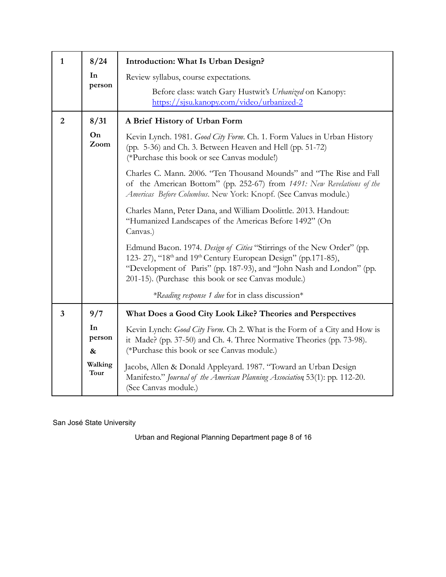| $\mathbf{1}$   | 8/24              | Introduction: What Is Urban Design?                                                                                                                                                                                                                                                            |
|----------------|-------------------|------------------------------------------------------------------------------------------------------------------------------------------------------------------------------------------------------------------------------------------------------------------------------------------------|
|                | In                | Review syllabus, course expectations.                                                                                                                                                                                                                                                          |
|                | person            | Before class: watch Gary Hustwit's Urbanized on Kanopy:<br>https://sjsu.kanopy.com/video/urbanized-2                                                                                                                                                                                           |
| $\overline{2}$ | 8/31              | A Brief History of Urban Form                                                                                                                                                                                                                                                                  |
|                | On<br>Zoom        | Kevin Lynch. 1981. Good City Form. Ch. 1. Form Values in Urban History<br>(pp. 5-36) and Ch. 3. Between Heaven and Hell (pp. 51-72)<br>(*Purchase this book or see Canvas module!)                                                                                                             |
|                |                   | Charles C. Mann. 2006. "Ten Thousand Mounds" and "The Rise and Fall<br>of the American Bottom" (pp. 252-67) from 1491: New Revelations of the<br>Americas Before Columbus. New York: Knopf. (See Canvas module.)                                                                               |
|                |                   | Charles Mann, Peter Dana, and William Doolittle. 2013. Handout:<br>"Humanized Landscapes of the Americas Before 1492" (On<br>Canvas.)                                                                                                                                                          |
|                |                   | Edmund Bacon. 1974. Design of Cities "Stirrings of the New Order" (pp.<br>123-27), "18 <sup>th</sup> and 19 <sup>th</sup> Century European Design" (pp.171-85),<br>"Development of Paris" (pp. 187-93), and "John Nash and London" (pp.<br>201-15). (Purchase this book or see Canvas module.) |
|                |                   | *Reading response 1 due for in class discussion*                                                                                                                                                                                                                                               |
| $\overline{3}$ | 9/7               | What Does a Good City Look Like? Theories and Perspectives                                                                                                                                                                                                                                     |
|                | In<br>person<br>& | Kevin Lynch: Good City Form. Ch 2. What is the Form of a City and How is<br>it Made? (pp. 37-50) and Ch. 4. Three Normative Theories (pp. 73-98).<br>(*Purchase this book or see Canvas module.)                                                                                               |
|                | Walking<br>Tour   | Jacobs, Allen & Donald Appleyard. 1987. "Toward an Urban Design<br>Manifesto." Journal of the American Planning Association 53(1): pp. 112-20.<br>(See Canvas module.)                                                                                                                         |

Urban and Regional Planning Department page 8 of 16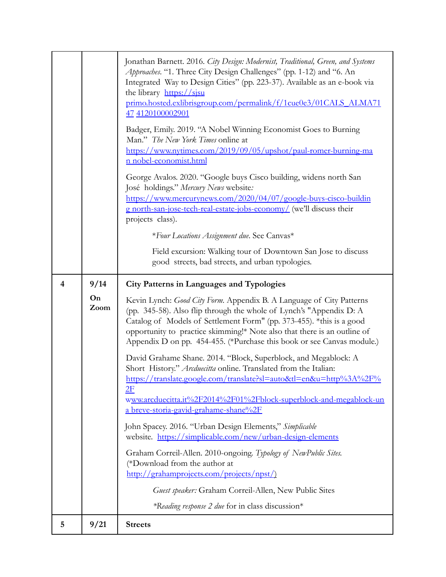|   |            | Jonathan Barnett. 2016. City Design: Modernist, Traditional, Green, and Systems<br>Approaches. "1. Three City Design Challenges" (pp. 1-12) and "6. An<br>Integrated Way to Design Cities" (pp. 223-37). Available as an e-book via<br>the library https://sisu<br>primo.hosted.exlibrisgroup.com/permalink/f/1cue0e3/01CALS_ALMA71<br>47 4120100002901<br>Badger, Emily. 2019. "A Nobel Winning Economist Goes to Burning<br>Man." The New York Times online at<br>https://www.nytimes.com/2019/09/05/upshot/paul-romer-burning-ma<br>n nobel-economist.html<br>George Avalos. 2020. "Google buys Cisco building, widens north San<br>José holdings." Mercury News website:<br>https://www.mercurynews.com/2020/04/07/google-buys-cisco-buildin<br>g north-san-jose-tech-real-estate-jobs-economy/ (we'll discuss their<br>projects class).<br>*Four Locations Assignment due. See Canvas*<br>Field excursion: Walking tour of Downtown San Jose to discuss<br>good streets, bad streets, and urban typologies. |
|---|------------|------------------------------------------------------------------------------------------------------------------------------------------------------------------------------------------------------------------------------------------------------------------------------------------------------------------------------------------------------------------------------------------------------------------------------------------------------------------------------------------------------------------------------------------------------------------------------------------------------------------------------------------------------------------------------------------------------------------------------------------------------------------------------------------------------------------------------------------------------------------------------------------------------------------------------------------------------------------------------------------------------------------|
| 4 | 9/14       | <b>City Patterns in Languages and Typologies</b>                                                                                                                                                                                                                                                                                                                                                                                                                                                                                                                                                                                                                                                                                                                                                                                                                                                                                                                                                                 |
|   | On<br>Zoom | Kevin Lynch: Good City Form. Appendix B. A Language of City Patterns<br>(pp. 345-58). Also flip through the whole of Lynch's "Appendix D: A<br>Catalog of Models of Settlement Form" (pp. 373-455). *this is a good<br>opportunity to practice skimming!* Note also that there is an outline of<br>Appendix D on pp. 454-455. (*Purchase this book or see Canvas module.)<br>David Grahame Shane. 2014. "Block, Superblock, and Megablock: A<br>Short History." Arcduecitta online. Translated from the Italian:<br>https://translate.google.com/translate?sl=auto&tl=en&u=http%3A%2F%<br>2F<br>www.arcduecitta.it%2F2014%2F01%2Fblock-superblock-and-megablock-un<br>a breve-storia-gavid-grahame-shane%2F<br>John Spacey. 2016. "Urban Design Elements," Simplicable                                                                                                                                                                                                                                           |
|   |            | website. https://simplicable.com/new/urban-design-elements<br>Graham Correil-Allen. 2010-ongoing. Typology of NewPublic Sites.<br>(*Download from the author at<br>http://grahamprojects.com/projects/npst/)<br>Guest speaker: Graham Correil-Allen, New Public Sites<br>*Reading response 2 due for in class discussion*                                                                                                                                                                                                                                                                                                                                                                                                                                                                                                                                                                                                                                                                                        |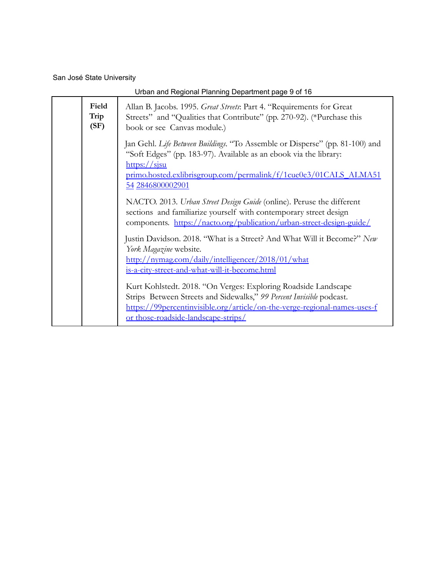| Urban and Regional Planning Department page 9 of 16 |                                                                                                                                                                                                                                                                                  |  |
|-----------------------------------------------------|----------------------------------------------------------------------------------------------------------------------------------------------------------------------------------------------------------------------------------------------------------------------------------|--|
| Field<br>Trip<br>(SF)                               | Allan B. Jacobs. 1995. Great Streets: Part 4. "Requirements for Great<br>Streets" and "Qualities that Contribute" (pp. 270-92). (*Purchase this<br>book or see Canvas module.)                                                                                                   |  |
|                                                     | Jan Gehl. Life Between Buildings. "To Assemble or Disperse" (pp. 81-100) and<br>"Soft Edges" (pp. 183-97). Available as an ebook via the library:<br>$\frac{https://sisu}{https://sisu}$<br>primo.hosted.exlibrisgroup.com/permalink/f/1cue0e3/01CALS_ALMA51<br>54 2846800002901 |  |
|                                                     | NACTO. 2013. Urban Street Design Guide (online). Peruse the different<br>sections and familiarize yourself with contemporary street design<br>components. https://nacto.org/publication/urban-street-design-guide/                                                               |  |
|                                                     | Justin Davidson. 2018. "What is a Street? And What Will it Become?" New<br>York Magazine website.<br>http://nymag.com/daily/intelligencer/2018/01/what<br>is-a-city-street-and-what-will-it-become.html                                                                          |  |
|                                                     | Kurt Kohlstedt. 2018. "On Verges: Exploring Roadside Landscape<br>Strips Between Streets and Sidewalks," 99 Percent Invisible podcast.<br>https://99percentinvisible.org/article/on-the-verge-regional-names-uses-f<br><u>or those-roadside-landscape-strips/</u>                |  |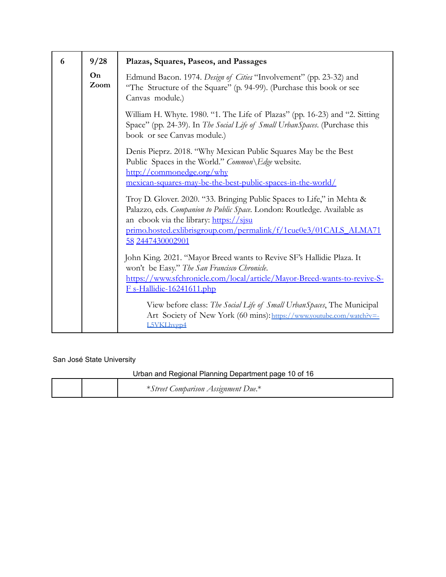| 6 | 9/28       | Plazas, Squares, Paseos, and Passages                                                                                                                                                                                                                                                                                                               |
|---|------------|-----------------------------------------------------------------------------------------------------------------------------------------------------------------------------------------------------------------------------------------------------------------------------------------------------------------------------------------------------|
|   | On<br>Zoom | Edmund Bacon. 1974. Design of Cities "Involvement" (pp. 23-32) and<br>"The Structure of the Square" (p. 94-99). (Purchase this book or see<br>Canvas module.)                                                                                                                                                                                       |
|   |            | William H. Whyte. 1980. "1. The Life of Plazas" (pp. 16-23) and "2. Sitting<br>Space" (pp. 24-39). In The Social Life of Small UrbanSpaces. (Purchase this<br>book or see Canvas module.)                                                                                                                                                           |
|   |            | Denis Pieprz. 2018. "Why Mexican Public Squares May be the Best<br>Public Spaces in the World." Common \ Edge website.<br>http://commonedge.org/why                                                                                                                                                                                                 |
|   |            | mexican-squares-may-be-the-best-public-spaces-in-the-world/<br>Troy D. Glover. 2020. "33. Bringing Public Spaces to Life," in Mehta &<br>Palazzo, eds. Companion to Public Space. London: Routledge. Available as<br>an ebook via the library: https://sjsu<br>primo.hosted.exlibrisgroup.com/permalink/f/1cue0e3/01CALS_ALMA71<br>58 2447430002901 |
|   |            | John King. 2021. "Mayor Breed wants to Revive SF's Hallidie Plaza. It<br>won't be Easy." The San Francisco Chronicle.<br>https://www.sfchronicle.com/local/article/Mayor-Breed-wants-to-revive-S-<br>$F_s-Hallidie-16241611.php$                                                                                                                    |
|   |            | View before class: The Social Life of Small Urban Spaces, The Municipal<br>Art Society of New York (60 mins): https://www.youtube.com/watch?v=-<br>L5VKLhvgp4                                                                                                                                                                                       |

Urban and Regional Planning Department page 10 of 16

|  | $\mathcal{L}$ omparison Assignment Due. $^*$<br>street ( |
|--|----------------------------------------------------------|
|--|----------------------------------------------------------|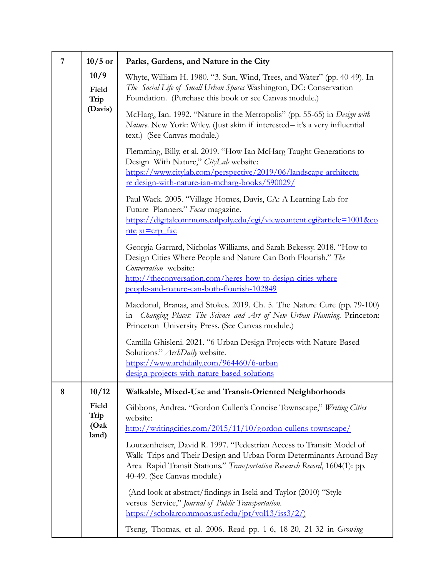| 7 | $10/5$ or                       | Parks, Gardens, and Nature in the City                                                                                                                                                                                                                                      |
|---|---------------------------------|-----------------------------------------------------------------------------------------------------------------------------------------------------------------------------------------------------------------------------------------------------------------------------|
|   | 10/9<br>Field<br>Trip           | Whyte, William H. 1980. "3. Sun, Wind, Trees, and Water" (pp. 40-49). In<br>The Social Life of Small Urban Spaces Washington, DC: Conservation<br>Foundation. (Purchase this book or see Canvas module.)                                                                    |
|   | (Davis)                         | McHarg, Ian. 1992. "Nature in the Metropolis" (pp. 55-65) in <i>Design with</i><br>Nature. New York: Wiley. (Just skim if interested - it's a very influential<br>text.) (See Canvas module.)                                                                               |
|   |                                 | Flemming, Billy, et al. 2019. "How Ian McHarg Taught Generations to<br>Design With Nature," CityLab website:<br>https://www.citylab.com/perspective/2019/06/landscape-architectu<br>re design-with-nature-ian-mcharg-books/590029/                                          |
|   |                                 | Paul Wack. 2005. "Village Homes, Davis, CA: A Learning Lab for<br>Future Planners." Focus magazine.<br>https://digitalcommons.calpoly.edu/cgi/viewcontent.cgi?article=1001&co<br>nte xt=crp fac                                                                             |
|   |                                 | Georgia Garrard, Nicholas Williams, and Sarah Bekessy. 2018. "How to<br>Design Cities Where People and Nature Can Both Flourish." The<br>Conversation website:<br>http://theconversation.com/heres-how-to-design-cities-where<br>people-and-nature-can-both-flourish-102849 |
|   |                                 | Macdonal, Branas, and Stokes. 2019. Ch. 5. The Nature Cure (pp. 79-100)<br>Changing Places: The Science and Art of New Urban Planning. Princeton:<br>111<br>Princeton University Press. (See Canvas module.)                                                                |
|   |                                 | Camilla Ghisleni. 2021. "6 Urban Design Projects with Nature-Based<br>Solutions." ArchDaily website.<br>https://www.archdaily.com/964460/6-urban<br>design-projects-with-nature-based-solutions                                                                             |
| 8 | 10/12                           | Walkable, Mixed-Use and Transit-Oriented Neighborhoods                                                                                                                                                                                                                      |
|   | Field<br>Trip<br>(Oak)<br>land) | Gibbons, Andrea. "Gordon Cullen's Concise Townscape," Writing Cities<br>website:<br>http://writingcities.com/2015/11/10/gordon-cullens-townscape/                                                                                                                           |
|   |                                 | Loutzenheiser, David R. 1997. "Pedestrian Access to Transit: Model of<br>Walk Trips and Their Design and Urban Form Determinants Around Bay<br>Area Rapid Transit Stations." Transportation Research Record, 1604(1): pp.<br>40-49. (See Canvas module.)                    |
|   |                                 | (And look at abstract/findings in Iseki and Taylor (2010) "Style<br>versus Service," Journal of Public Transportation.<br>https://scholarcommons.usf.edu/jpt/vol13/iss3/2/)                                                                                                 |
|   |                                 | Tseng, Thomas, et al. 2006. Read pp. 1-6, 18-20, 21-32 in <i>Growing</i>                                                                                                                                                                                                    |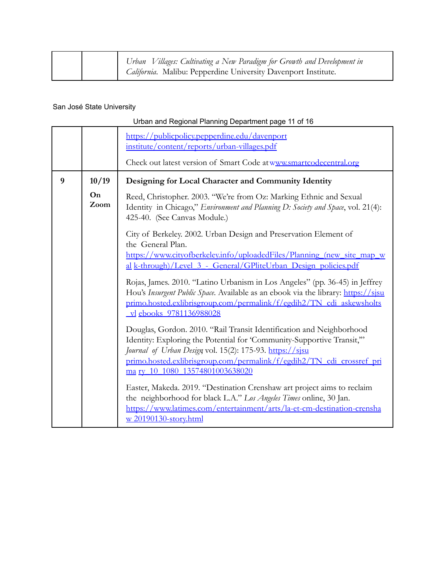|  | Urban Villages: Cultivating a New Paradigm for Growth and Development in |
|--|--------------------------------------------------------------------------|
|  | California. Malibu: Pepperdine University Davenport Institute.           |

|   |            | Urban and Regional Planning Department page 11 of 16                                                                                                                                                                                                                                                                  |
|---|------------|-----------------------------------------------------------------------------------------------------------------------------------------------------------------------------------------------------------------------------------------------------------------------------------------------------------------------|
|   |            | https://publicpolicy.pepperdine.edu/davenport<br>institute/content/reports/urban-villages.pdf<br>Check out latest version of Smart Code at www.smartcodecentral.org                                                                                                                                                   |
| 9 | 10/19      | Designing for Local Character and Community Identity                                                                                                                                                                                                                                                                  |
|   | On<br>Zoom | Reed, Christopher. 2003. "We're from Oz: Marking Ethnic and Sexual<br>Identity in Chicago," Environment and Planning D: Society and Space, vol. 21(4):<br>425-40. (See Canvas Module.)                                                                                                                                |
|   |            | City of Berkeley. 2002. Urban Design and Preservation Element of<br>the General Plan.<br>https://www.cityofberkeley.info/uploadedFiles/Planning_(new_site_map_w                                                                                                                                                       |
|   |            | al k-through)/Level 3 - General/GPliteUrban Design policies.pdf                                                                                                                                                                                                                                                       |
|   |            | Rojas, James. 2010. "Latino Urbanism in Los Angeles" (pp. 36-45) in Jeffrey<br>Hou's <i>Insurgent Public Space</i> . Available as an ebook via the library: https://sisu<br>primo.hosted.exlibrisgroup.com/permalink/f/egdih2/TN cdi askewsholts<br><u>vl</u> ebooks 9781136988028                                    |
|   |            | Douglas, Gordon. 2010. "Rail Transit Identification and Neighborhood<br>Identity: Exploring the Potential for 'Community-Supportive Transit,"<br>Journal of Urban Design vol. 15(2): 175-93. https://sjsu<br>primo.hosted.exlibrisgroup.com/permalink/f/egdih2/TN cdi crossref pri<br>ma rv 10 1080 13574801003638020 |
|   |            | Easter, Makeda. 2019. "Destination Crenshaw art project aims to reclaim<br>the neighborhood for black L.A." Los Angeles Times online, 30 Jan.<br>https://www.latimes.com/entertainment/arts/la-et-cm-destination-crensha<br>w 20190130-story.html                                                                     |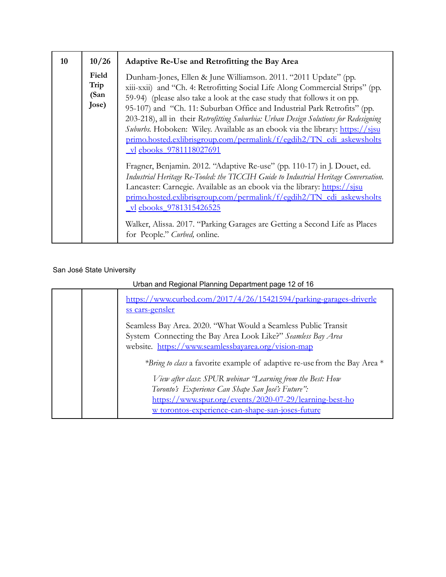| 10 | 10/26                          | Adaptive Re-Use and Retrofitting the Bay Area                                                                                                                                                                                                                                                                                                                                                                                                                                                                                                                                               |
|----|--------------------------------|---------------------------------------------------------------------------------------------------------------------------------------------------------------------------------------------------------------------------------------------------------------------------------------------------------------------------------------------------------------------------------------------------------------------------------------------------------------------------------------------------------------------------------------------------------------------------------------------|
|    | Field<br>Trip<br>(San<br>Jose) | Dunham-Jones, Ellen & June Williamson. 2011. "2011 Update" (pp.<br>xiii-xxii) and "Ch. 4: Retrofitting Social Life Along Commercial Strips" (pp.<br>59-94) (please also take a look at the case study that follows it on pp.<br>95-107) and "Ch. 11: Suburban Office and Industrial Park Retrofits" (pp.<br>203-218), all in their Retrofitting Suburbia: Urban Design Solutions for Redesigning<br><i>Suburbs</i> . Hoboken: Wiley. Available as an ebook via the library: https://sisu<br>primo.hosted.exlibrisgroup.com/permalink/f/egdih2/TN cdi askewsholts<br>vl ebooks 9781118027691 |
|    |                                | Fragner, Benjamin. 2012. "Adaptive Re-use" (pp. 110-17) in J. Douet, ed.<br>Industrial Heritage Re-Tooled: the TICCIH Guide to Industrial Heritage Conversation.<br>Lancaster: Carnegie. Available as an ebook via the library: https://sisu<br>primo.hosted.exlibrisgroup.com/permalink/f/egdih2/TN cdi askewsholts<br>_vl ebooks_9781315426525<br>Walker, Alissa. 2017. "Parking Garages are Getting a Second Life as Places<br>for People." Curbed, online.                                                                                                                              |

| Urban and Regional Planning Department page 12 of 16 |  |                                                                                       |
|------------------------------------------------------|--|---------------------------------------------------------------------------------------|
|                                                      |  | https://www.curbed.com/2017/4/26/15421594/parking-garages-driverle<br>ss cars-gensler |
|                                                      |  | Seamless Bay Area. 2020. "What Would a Seamless Public Transit                        |
|                                                      |  | System Connecting the Bay Area Look Like?" Seamless Bay Area                          |
|                                                      |  | website. https://www.seamlessbayarea.org/vision-map                                   |
|                                                      |  | *Bring to class a favorite example of adaptive re-use from the Bay Area *             |
|                                                      |  | View after class: SPUR webinar 'Learning from the Best: How                           |
|                                                      |  | Toronto's Experience Can Shape San José's Future":                                    |
|                                                      |  | https://www.spur.org/events/2020-07-29/learning-best-ho                               |
|                                                      |  | w torontos-experience-can-shape-san-joses-future                                      |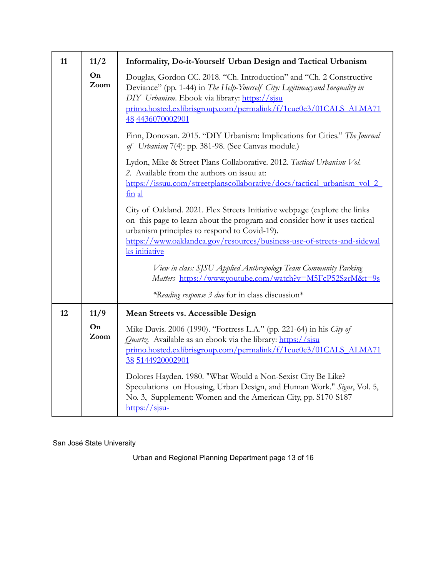| 11 | 11/2       | Informality, Do-it-Yourself Urban Design and Tactical Urbanism                                                                                                                                                                                                                                     |
|----|------------|----------------------------------------------------------------------------------------------------------------------------------------------------------------------------------------------------------------------------------------------------------------------------------------------------|
|    | On<br>Zoom | Douglas, Gordon CC. 2018. "Ch. Introduction" and "Ch. 2 Constructive<br>Deviance" (pp. 1-44) in The Help-Yourself City: Legitimacyand Inequality in<br>DIY Urbanism. Ebook via library: https://sisu<br>primo.hosted.exlibrisgroup.com/permalink/f/1cue0e3/01CALS_ALMA71<br>48 4436070002901       |
|    |            | Finn, Donovan. 2015. "DIY Urbanism: Implications for Cities." The Journal<br>of Urbanism 7(4): pp. 381-98. (See Canvas module.)                                                                                                                                                                    |
|    |            | Lydon, Mike & Street Plans Collaborative. 2012. Tactical Urbanism Vol.<br>2. Available from the authors on issuu at:<br>https://issuu.com/streetplanscollaborative/docs/tactical_urbanism_vol_2_<br>fin al                                                                                         |
|    |            | City of Oakland. 2021. Flex Streets Initiative webpage (explore the links<br>on this page to learn about the program and consider how it uses tactical<br>urbanism principles to respond to Covid-19).<br>https://www.oaklandca.gov/resources/business-use-of-streets-and-sidewal<br>ks initiative |
|    |            | View in class: SJSU Applied Anthropology Team Community Parking<br>Matters https://www.youtube.com/watch?v=M5FcP52SztM&t=9s                                                                                                                                                                        |
|    |            | *Reading response 3 due for in class discussion*                                                                                                                                                                                                                                                   |
| 12 | 11/9       | <b>Mean Streets vs. Accessible Design</b>                                                                                                                                                                                                                                                          |
|    | On<br>Zoom | Mike Davis. 2006 (1990). "Fortress L.A." (pp. 221-64) in his City of<br><i>Quartz</i> . Available as an ebook via the library: https://sisu<br>primo.hosted.exlibrisgroup.com/permalink/f/1cue0e3/01CALS_ALMA71<br>38 5144920002901                                                                |
|    |            | Dolores Hayden. 1980. "What Would a Non-Sexist City Be Like?<br>Speculations on Housing, Urban Design, and Human Work." Signs, Vol. 5,<br>No. 3, Supplement: Women and the American City, pp. S170-S187<br>$\frac{https://sjsu-}{$                                                                 |

Urban and Regional Planning Department page 13 of 16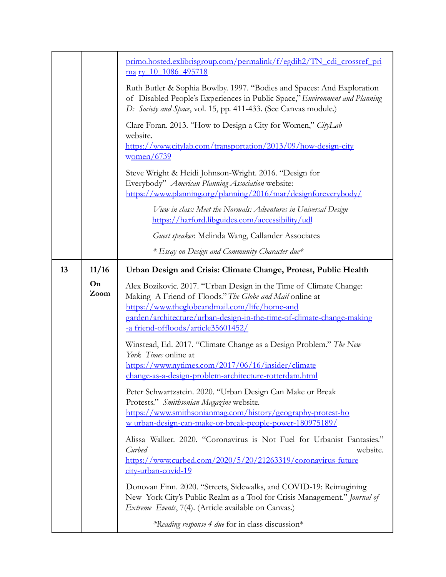|    |            | primo.hosted.exlibrisgroup.com/permalink/f/egdih2/TN_cdi_crossref_pri<br>ma ry 10 1086 495718                                                                                                                                                                                                                                                                                                                                                                                                                                                                                                                                                                                                                                                     |
|----|------------|---------------------------------------------------------------------------------------------------------------------------------------------------------------------------------------------------------------------------------------------------------------------------------------------------------------------------------------------------------------------------------------------------------------------------------------------------------------------------------------------------------------------------------------------------------------------------------------------------------------------------------------------------------------------------------------------------------------------------------------------------|
|    |            | Ruth Butler & Sophia Bowlby. 1997. "Bodies and Spaces: And Exploration<br>of Disabled People's Experiences in Public Space," Environment and Planning<br>D: Society and Space, vol. 15, pp. 411-433. (See Canvas module.)                                                                                                                                                                                                                                                                                                                                                                                                                                                                                                                         |
|    |            | Clare Foran. 2013. "How to Design a City for Women," CityLab<br>website.<br>https://www.citylab.com/transportation/2013/09/how-design-city<br>women/6739                                                                                                                                                                                                                                                                                                                                                                                                                                                                                                                                                                                          |
|    |            | Steve Wright & Heidi Johnson-Wright. 2016. "Design for<br>Everybody" American Planning Association website:<br>https://www.planning.org/planning/2016/mar/designforeverybody/                                                                                                                                                                                                                                                                                                                                                                                                                                                                                                                                                                     |
|    |            | View in class: Meet the Normals: Adventures in Universal Design<br>https://harford.libguides.com/accessibility/udl                                                                                                                                                                                                                                                                                                                                                                                                                                                                                                                                                                                                                                |
|    |            | Guest speaker. Melinda Wang, Callander Associates                                                                                                                                                                                                                                                                                                                                                                                                                                                                                                                                                                                                                                                                                                 |
|    |            | * Essay on Design and Community Character due*                                                                                                                                                                                                                                                                                                                                                                                                                                                                                                                                                                                                                                                                                                    |
| 13 | 11/16      | Urban Design and Crisis: Climate Change, Protest, Public Health                                                                                                                                                                                                                                                                                                                                                                                                                                                                                                                                                                                                                                                                                   |
|    | On<br>Zoom | Alex Bozikovic. 2017. "Urban Design in the Time of Climate Change:<br>Making A Friend of Floods." The Globe and Mail online at<br>https://www.theglobeandmail.com/life/home-and<br>garden/architecture/urban-design-in-the-time-of-climate-change-making<br>-a friend-offloods/article35601452/<br>Winstead, Ed. 2017. "Climate Change as a Design Problem." The New<br>York Times online at<br>https://www.nytimes.com/2017/06/16/insider/climate<br>change-as-a-design-problem-architecture-rotterdam.html<br>Peter Schwartzstein. 2020. "Urban Design Can Make or Break<br>Protests." Smithsonian Magazine website.<br>https://www.smithsonianmag.com/history/geography-protest-ho<br>w urban-design-can-make-or-break-people-power-180975189/ |
|    |            | Alissa Walker. 2020. "Coronavirus is Not Fuel for Urbanist Fantasies."<br>Curbed<br>website.<br>https://www.curbed.com/2020/5/20/21263319/coronavirus-future<br>city-urban-covid-19                                                                                                                                                                                                                                                                                                                                                                                                                                                                                                                                                               |
|    |            | Donovan Finn. 2020. "Streets, Sidewalks, and COVID-19: Reimagining<br>New York City's Public Realm as a Tool for Crisis Management." Journal of<br>Extreme Events, 7(4). (Article available on Canvas.)                                                                                                                                                                                                                                                                                                                                                                                                                                                                                                                                           |
|    |            | *Reading response 4 due for in class discussion*                                                                                                                                                                                                                                                                                                                                                                                                                                                                                                                                                                                                                                                                                                  |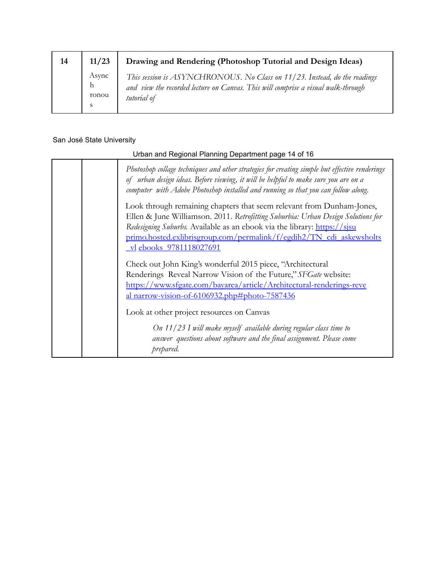| 14 | 11/23                          | Drawing and Rendering (Photoshop Tutorial and Design Ideas)                                                                                                                   |
|----|--------------------------------|-------------------------------------------------------------------------------------------------------------------------------------------------------------------------------|
|    | Async<br>$\mathbf{h}$<br>ronou | This session is ASYNCHRONOUS. No Class on 11/23. Instead, do the readings<br>and view the recorded lecture on Canvas. This will comprise a visual walk-through<br>tutorial of |

| Urban and Regional Planning Department page 14 of 16 |                                                                                                                                                                                                                                                                                                                                                 |
|------------------------------------------------------|-------------------------------------------------------------------------------------------------------------------------------------------------------------------------------------------------------------------------------------------------------------------------------------------------------------------------------------------------|
|                                                      | Photoshop collage techniques and other strategies for creating simple but effective renderings<br>of urban design ideas. Before viewing, it will be helpful to make sure you are on a<br>computer with Adobe Photoshop installed and running so that you can follow along.                                                                      |
|                                                      | Look through remaining chapters that seem relevant from Dunham-Jones,<br>Ellen & June Williamson. 2011. Retrofitting Suburbia: Urban Design Solutions for<br>Redesigning Suburbs. Available as an ebook via the library: https://sisu<br>primo.hosted.exlibrisgroup.com/permalink/f/egdih2/TN cdi askewsholts<br><u>vl</u> ebooks 9781118027691 |
|                                                      | Check out John King's wonderful 2015 piece, "Architectural<br>Renderings Reveal Narrow Vision of the Future," SFGate website:<br>https://www.sfgate.com/bayarea/article/Architectural-renderings-reve<br>al narrow-vision-of-6106932.php#photo-7587436                                                                                          |
|                                                      | Look at other project resources on Canvas<br>On $11/23$ I will make myself available during regular class time to<br>answer questions about software and the final assignment. Please come<br>prepared.                                                                                                                                         |